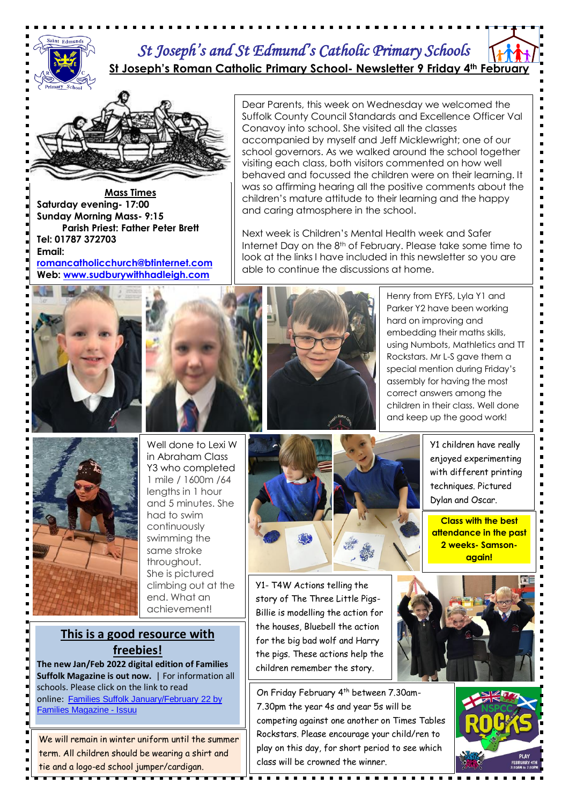

### *St Joseph's and St Edmund's Catholic Primary Schools*  **St Joseph's Roman Catholic Primary School- Newsletter 9 Friday 4th February**

Dear Parents, this week on Wednesday we welcomed the Suffolk County Council Standards and Excellence Officer Val

accompanied by myself and Jeff Micklewright; one of our school governors. As we walked around the school together visiting each class, both visitors commented on how well behaved and focussed the children were on their learning. It was so affirming hearing all the positive comments about the children's mature attitude to their learning and the happy

Next week is Children's Mental Health week and Safer Internet Day on the 8<sup>th</sup> of February. Please take some time to look at the links I have included in this newsletter so you are

Conavoy into school. She visited all the classes

and caring atmosphere in the school.

able to continue the discussions at home.



**Mass Times Saturday evening- 17:00 Sunday Morning Mass- 9:15 Parish Priest: Father Peter Brett Tel: 01787 372703 Email: [romancatholicchurch@btinternet.com](mailto:romancatholicchurch@btinternet.com) Web: [www.sudburywithhadleigh.com](http://www.sudburywithhadleigh.com/)**





Henry from EYFS, Lyla Y1 and Parker Y2 have been working hard on improving and embedding their maths skills, using Numbots, Mathletics and TT Rockstars. Mr L-S gave them a special mention during Friday's assembly for having the most correct answers among the children in their class. Well done and keep up the good work!



Well done to Lexi W in Abraham Class Y3 who completed 1 mile / 1600m /64 lengths in 1 hour and 5 minutes. She had to swim continuously swimming the same stroke throughout. She is pictured climbing out at the end. What an achievement!

## **This is a good resource with freebies!**

**The new Jan/Feb 2022 digital edition of Families Suffolk Magazine is out now.** | For information all schools. Please click on the link to read online: Families Suffolk [January/February](https://suffolk.us15.list-manage.com/track/click?u=5c2782ab1264cda5bb7f549a9&id=39aadea419&e=c4ae68b761) 22 by Families [Magazine](https://suffolk.us15.list-manage.com/track/click?u=5c2782ab1264cda5bb7f549a9&id=39aadea419&e=c4ae68b761) - Issuu

We will remain in winter uniform until the summer term. All children should be wearing a shirt and tie and a logo-ed school jumper/cardigan.



Y1- T4W Actions telling the story of The Three Little Pigs-Billie is modelling the action for the houses, Bluebell the action for the big bad wolf and Harry the pigs. These actions help the children remember the story.

On Friday February 4th between 7.30am-7.30pm the year 4s and year 5s will be competing against one another on Times Tables Rockstars. Please encourage your child/ren to play on this day, for short period to see which class will be crowned the winner.

<del>. . . . . . . . . . . .</del>





Y1 children have really enjoyed experimenting with different printing

> techniques. Pictured Dylan and Oscar.

**Class with the best attendance in the past 2 weeks- Samsonagain!**